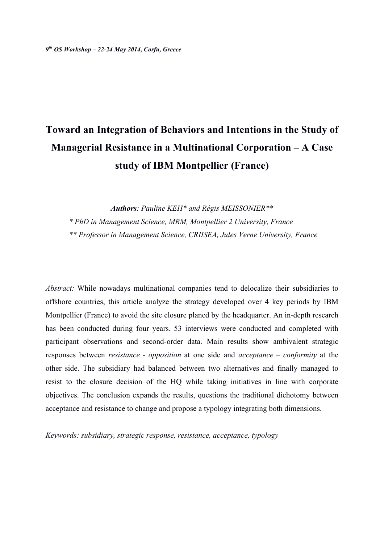# **Toward an Integration of Behaviors and Intentions in the Study of Managerial Resistance in a Multinational Corporation – A Case study of IBM Montpellier (France)**

*Authors: Pauline KEH\* and Régis MEISSONIER\*\* \* PhD in Management Science, MRM, Montpellier 2 University, France*

*\*\* Professor in Management Science, CRIISEA, Jules Verne University, France*

*Abstract:* While nowadays multinational companies tend to delocalize their subsidiaries to offshore countries, this article analyze the strategy developed over 4 key periods by IBM Montpellier (France) to avoid the site closure planed by the headquarter. An in-depth research has been conducted during four years. 53 interviews were conducted and completed with participant observations and second-order data. Main results show ambivalent strategic responses between *resistance - opposition* at one side and *acceptance – conformity* at the other side. The subsidiary had balanced between two alternatives and finally managed to resist to the closure decision of the HQ while taking initiatives in line with corporate objectives. The conclusion expands the results, questions the traditional dichotomy between acceptance and resistance to change and propose a typology integrating both dimensions.

*Keywords: subsidiary, strategic response, resistance, acceptance, typology*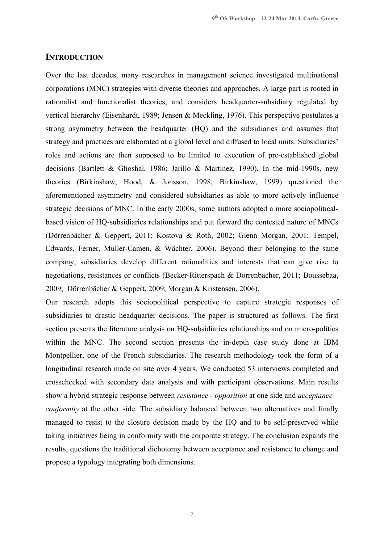#### **INTRODUCTION**

Over the last decades, many researches in management science investigated multinational corporations (MNC) strategies with diverse theories and approaches. A large part is rooted in rationalist and functionalist theories, and considers headquarter-subsidiary regulated by vertical hierarchy (Eisenhardt, 1989; Jensen & Meckling, 1976). This perspective postulates a strong asymmetry between the headquarter (HQ) and the subsidiaries and assumes that strategy and practices are elaborated at a global level and diffused to local units. Subsidiaries' roles and actions are then supposed to be limited to execution of pre-established global decisions (Bartlett & Ghoshal, 1986; Jarillo & Martinez, 1990). In the mid-1990s, new theories (Birkinshaw, Hood, & Jonsson, 1998; Birkinshaw, 1999) questioned the aforementioned asymmetry and considered subsidiaries as able to more actively influence strategic decisions of MNC. In the early 2000s, some authors adopted a more sociopoliticalbased vision of HQ-subsidiaries relationships and put forward the contested nature of MNCs (Dörrenbächer & Geppert, 2011; Kostova & Roth, 2002; Glenn Morgan, 2001; Tempel, Edwards, Ferner, Muller-Camen, & Wächter, 2006). Beyond their belonging to the same company, subsidiaries develop different rationalities and interests that can give rise to negotiations, resistances or conflicts (Becker-Ritterspach & Dörrenbächer, 2011; Boussebaa, 2009; Dörrenbächer & Geppert, 2009; Morgan & Kristensen, 2006).

Our research adopts this sociopolitical perspective to capture strategic responses of subsidiaries to drastic headquarter decisions. The paper is structured as follows. The first section presents the literature analysis on HQ-subsidiaries relationships and on micro-politics within the MNC. The second section presents the in-depth case study done at IBM Montpellier, one of the French subsidiaries. The research methodology took the form of a longitudinal research made on site over 4 years. We conducted 53 interviews completed and crosschecked with secondary data analysis and with participant observations. Main results show a hybrid strategic response between *resistance - opposition* at one side and *acceptance – conformity* at the other side. The subsidiary balanced between two alternatives and finally managed to resist to the closure decision made by the HQ and to be self-preserved while taking initiatives being in conformity with the corporate strategy. The conclusion expands the results, questions the traditional dichotomy between acceptance and resistance to change and propose a typology integrating both dimensions.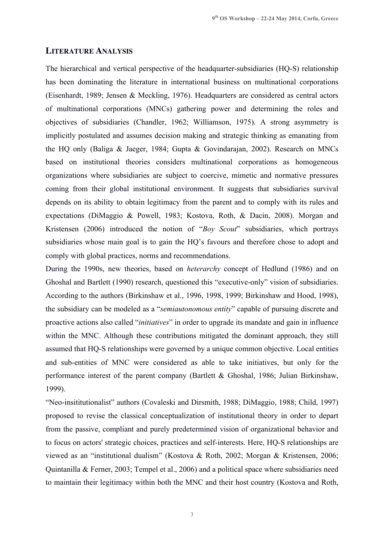#### **LITERATURE ANALYSIS**

The hierarchical and vertical perspective of the headquarter-subsidiaries (HQ-S) relationship has been dominating the literature in international business on multinational corporations (Eisenhardt, 1989; Jensen & Meckling, 1976). Headquarters are considered as central actors of multinational corporations (MNCs) gathering power and determining the roles and objectives of subsidiaries (Chandler, 1962; Williamson, 1975). A strong asymmetry is implicitly postulated and assumes decision making and strategic thinking as emanating from the HQ only (Baliga & Jaeger, 1984; Gupta & Govindarajan, 2002). Research on MNCs based on institutional theories considers multinational corporations as homogeneous organizations where subsidiaries are subject to coercive, mimetic and normative pressures coming from their global institutional environment. It suggests that subsidiaries survival depends on its ability to obtain legitimacy from the parent and to comply with its rules and expectations (DiMaggio & Powell, 1983; Kostova, Roth, & Dacin, 2008). Morgan and Kristensen (2006) introduced the notion of "*Boy Scout*" subsidiaries, which portrays subsidiaries whose main goal is to gain the HQ's favours and therefore chose to adopt and comply with global practices, norms and recommendations.

During the 1990s, new theories, based on *heterarchy* concept of Hedlund (1986) and on Ghoshal and Bartlett (1990) research, questioned this "executive-only" vision of subsidiaries. According to the authors (Birkinshaw et al., 1996, 1998, 1999; Birkinshaw and Hood, 1998), the subsidiary can be modeled as a "*semiautonomous entity*" capable of pursuing discrete and proactive actions also called "*initiatives*" in order to upgrade its mandate and gain in influence within the MNC. Although these contributions mitigated the dominant approach, they still assumed that HQ-S relationships were governed by a unique common objective. Local entities and sub-entities of MNC were considered as able to take initiatives, but only for the performance interest of the parent company (Bartlett & Ghoshal, 1986; Julian Birkinshaw, 1999).

"Neo-insititutionalist" authors (Covaleski and Dirsmith, 1988; DiMaggio, 1988; Child, 1997) proposed to revise the classical conceptualization of institutional theory in order to depart from the passive, compliant and purely predetermined vision of organizational behavior and to focus on actors' strategic choices, practices and self-interests. Here, HQ-S relationships are viewed as an "institutional dualism" (Kostova & Roth, 2002; Morgan & Kristensen, 2006; Quintanilla & Ferner, 2003; Tempel et al., 2006) and a political space where subsidiaries need to maintain their legitimacy within both the MNC and their host country (Kostova and Roth,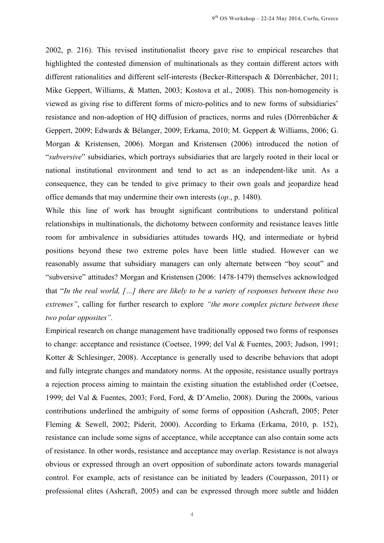2002, p. 216). This revised institutionalist theory gave rise to empirical researches that highlighted the contested dimension of multinationals as they contain different actors with different rationalities and different self-interests (Becker-Ritterspach & Dörrenbächer, 2011; Mike Geppert, Williams, & Matten, 2003; Kostova et al., 2008). This non-homogeneity is viewed as giving rise to different forms of micro-politics and to new forms of subsidiaries' resistance and non-adoption of HQ diffusion of practices, norms and rules (Dörrenbächer & Geppert, 2009; Edwards & Bélanger, 2009; Erkama, 2010; M. Geppert & Williams, 2006; G. Morgan & Kristensen, 2006). Morgan and Kristensen (2006) introduced the notion of "*subversive*" subsidiaries, which portrays subsidiaries that are largely rooted in their local or national institutional environment and tend to act as an independent-like unit. As a consequence, they can be tended to give primacy to their own goals and jeopardize head office demands that may undermine their own interests (*op.*, p. 1480).

While this line of work has brought significant contributions to understand political relationships in multinationals, the dichotomy between conformity and resistance leaves little room for ambivalence in subsidiaries attitudes towards HQ, and intermediate or hybrid positions beyond these two extreme poles have been little studied. However can we reasonably assume that subsidiary managers can only alternate between "boy scout" and "subversive" attitudes? Morgan and Kristensen (2006: 1478-1479) themselves acknowledged that "*In the real world, […] there are likely to be a variety of responses between these two extremes"*, calling for further research to explore *"the more complex picture between these two polar opposites".*

Empirical research on change management have traditionally opposed two forms of responses to change: acceptance and resistance (Coetsee, 1999; del Val & Fuentes, 2003; Judson, 1991; Kotter & Schlesinger, 2008). Acceptance is generally used to describe behaviors that adopt and fully integrate changes and mandatory norms. At the opposite, resistance usually portrays a rejection process aiming to maintain the existing situation the established order (Coetsee, 1999; del Val & Fuentes, 2003; Ford, Ford, & D'Amelio, 2008). During the 2000s, various contributions underlined the ambiguity of some forms of opposition (Ashcraft, 2005; Peter Fleming & Sewell, 2002; Piderit, 2000). According to Erkama (Erkama, 2010, p. 152), resistance can include some signs of acceptance, while acceptance can also contain some acts of resistance. In other words, resistance and acceptance may overlap. Resistance is not always obvious or expressed through an overt opposition of subordinate actors towards managerial control. For example, acts of resistance can be initiated by leaders (Courpasson, 2011) or professional elites (Ashcraft, 2005) and can be expressed through more subtle and hidden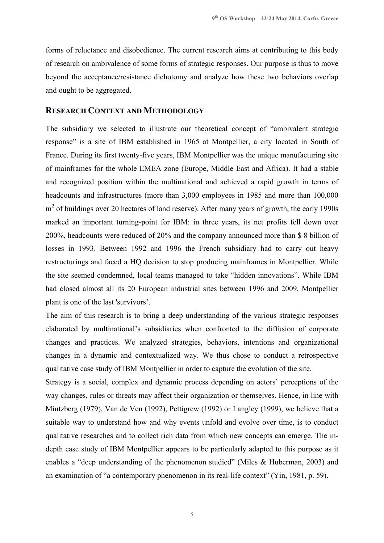forms of reluctance and disobedience. The current research aims at contributing to this body of research on ambivalence of some forms of strategic responses. Our purpose is thus to move beyond the acceptance/resistance dichotomy and analyze how these two behaviors overlap and ought to be aggregated.

### **RESEARCH CONTEXT AND METHODOLOGY**

The subsidiary we selected to illustrate our theoretical concept of "ambivalent strategic response" is a site of IBM established in 1965 at Montpellier, a city located in South of France. During its first twenty-five years, IBM Montpellier was the unique manufacturing site of mainframes for the whole EMEA zone (Europe, Middle East and Africa). It had a stable and recognized position within the multinational and achieved a rapid growth in terms of headcounts and infrastructures (more than 3,000 employees in 1985 and more than 100,000 m<sup>2</sup> of buildings over 20 hectares of land reserve). After many years of growth, the early 1990s marked an important turning-point for IBM: in three years, its net profits fell down over 200%, headcounts were reduced of 20% and the company announced more than \$ 8 billion of losses in 1993. Between 1992 and 1996 the French subsidiary had to carry out heavy restructurings and faced a HQ decision to stop producing mainframes in Montpellier. While the site seemed condemned, local teams managed to take "hidden innovations". While IBM had closed almost all its 20 European industrial sites between 1996 and 2009, Montpellier plant is one of the last 'survivors'.

The aim of this research is to bring a deep understanding of the various strategic responses elaborated by multinational's subsidiaries when confronted to the diffusion of corporate changes and practices. We analyzed strategies, behaviors, intentions and organizational changes in a dynamic and contextualized way. We thus chose to conduct a retrospective qualitative case study of IBM Montpellier in order to capture the evolution of the site.

Strategy is a social, complex and dynamic process depending on actors' perceptions of the way changes, rules or threats may affect their organization or themselves. Hence, in line with Mintzberg (1979), Van de Ven (1992), Pettigrew (1992) or Langley (1999), we believe that a suitable way to understand how and why events unfold and evolve over time, is to conduct qualitative researches and to collect rich data from which new concepts can emerge. The indepth case study of IBM Montpellier appears to be particularly adapted to this purpose as it enables a "deep understanding of the phenomenon studied" (Miles & Huberman, 2003) and an examination of "a contemporary phenomenon in its real-life context" (Yin, 1981, p. 59).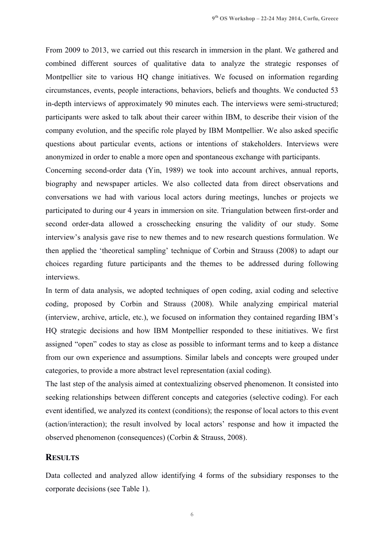From 2009 to 2013, we carried out this research in immersion in the plant. We gathered and combined different sources of qualitative data to analyze the strategic responses of Montpellier site to various HQ change initiatives. We focused on information regarding circumstances, events, people interactions, behaviors, beliefs and thoughts. We conducted 53 in-depth interviews of approximately 90 minutes each. The interviews were semi-structured; participants were asked to talk about their career within IBM, to describe their vision of the company evolution, and the specific role played by IBM Montpellier. We also asked specific questions about particular events, actions or intentions of stakeholders. Interviews were anonymized in order to enable a more open and spontaneous exchange with participants.

Concerning second-order data (Yin, 1989) we took into account archives, annual reports, biography and newspaper articles. We also collected data from direct observations and conversations we had with various local actors during meetings, lunches or projects we participated to during our 4 years in immersion on site. Triangulation between first-order and second order-data allowed a crosschecking ensuring the validity of our study. Some interview's analysis gave rise to new themes and to new research questions formulation. We then applied the 'theoretical sampling' technique of Corbin and Strauss (2008) to adapt our choices regarding future participants and the themes to be addressed during following interviews.

In term of data analysis, we adopted techniques of open coding, axial coding and selective coding, proposed by Corbin and Strauss (2008). While analyzing empirical material (interview, archive, article, etc.), we focused on information they contained regarding IBM's HQ strategic decisions and how IBM Montpellier responded to these initiatives. We first assigned "open" codes to stay as close as possible to informant terms and to keep a distance from our own experience and assumptions. Similar labels and concepts were grouped under categories, to provide a more abstract level representation (axial coding).

The last step of the analysis aimed at contextualizing observed phenomenon. It consisted into seeking relationships between different concepts and categories (selective coding). For each event identified, we analyzed its context (conditions); the response of local actors to this event (action/interaction); the result involved by local actors' response and how it impacted the observed phenomenon (consequences) (Corbin & Strauss, 2008).

# **RESULTS**

Data collected and analyzed allow identifying 4 forms of the subsidiary responses to the corporate decisions (see Table 1).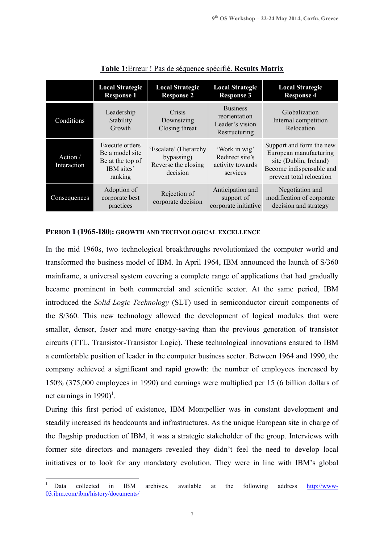|                         | <b>Local Strategic</b><br><b>Response 1</b>                                    | <b>Local Strategic</b><br><b>Response 2</b>                            | <b>Local Strategic</b><br><b>Response 3</b>                          | <b>Local Strategic</b><br><b>Response 4</b>                                                                                          |
|-------------------------|--------------------------------------------------------------------------------|------------------------------------------------------------------------|----------------------------------------------------------------------|--------------------------------------------------------------------------------------------------------------------------------------|
| Conditions              | Leadership<br>Stability<br>Growth                                              | Crisis<br>Downsizing<br>Closing threat                                 | <b>Business</b><br>reorientation<br>Leader's vision<br>Restructuring | Globalization<br>Internal competition<br>Relocation                                                                                  |
| Action /<br>Interaction | Execute orders<br>Be a model site<br>Be at the top of<br>IBM sites'<br>ranking | 'Escalate' (Hierarchy<br>bypassing)<br>Reverse the closing<br>decision | 'Work in wig'<br>Redirect site's<br>activity towards<br>services     | Support and form the new<br>European manufacturing<br>site (Dublin, Ireland)<br>Become indispensable and<br>prevent total relocation |
| Consequences            | Adoption of<br>corporate best<br>practices                                     | Rejection of<br>corporate decision                                     | Anticipation and<br>support of<br>corporate initiative               | Negotiation and<br>modification of corporate<br>decision and strategy                                                                |

# **Table 1:**Erreur ! Pas de séquence spécifié. **Results Matrix**

#### **PERIOD 1 (1965-180): GROWTH AND TECHNOLOGICAL EXCELLENCE**

In the mid 1960s, two technological breakthroughs revolutionized the computer world and transformed the business model of IBM. In April 1964, IBM announced the launch of S/360 mainframe, a universal system covering a complete range of applications that had gradually became prominent in both commercial and scientific sector. At the same period, IBM introduced the *Solid Logic Technology* (SLT) used in semiconductor circuit components of the S/360. This new technology allowed the development of logical modules that were smaller, denser, faster and more energy-saving than the previous generation of transistor circuits (TTL, Transistor-Transistor Logic). These technological innovations ensured to IBM a comfortable position of leader in the computer business sector. Between 1964 and 1990, the company achieved a significant and rapid growth: the number of employees increased by 150% (375,000 employees in 1990) and earnings were multiplied per 15 (6 billion dollars of net earnings in 1990)<sup>1</sup>.

During this first period of existence, IBM Montpellier was in constant development and steadily increased its headcounts and infrastructures. As the unique European site in charge of the flagship production of IBM, it was a strategic stakeholder of the group. Interviews with former site directors and managers revealed they didn't feel the need to develop local initiatives or to look for any mandatory evolution. They were in line with IBM's global

<sup>&</sup>lt;sup>1</sup> Data collected in IBM archives, available at the following address http://www-03.ibm.com/ibm/history/documents/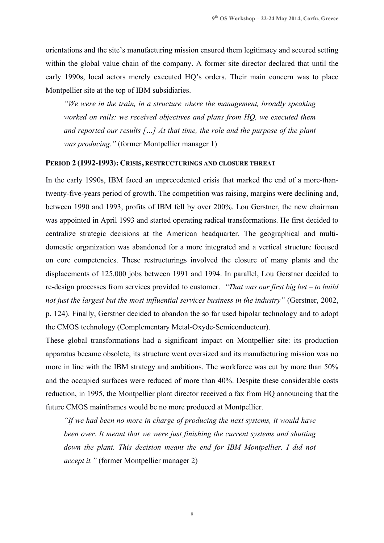orientations and the site's manufacturing mission ensured them legitimacy and secured setting within the global value chain of the company. A former site director declared that until the early 1990s, local actors merely executed HQ's orders. Their main concern was to place Montpellier site at the top of IBM subsidiaries.

*"We were in the train, in a structure where the management, broadly speaking worked on rails: we received objectives and plans from HQ, we executed them and reported our results […] At that time, the role and the purpose of the plant was producing."* (former Montpellier manager 1)

#### **PERIOD 2 (1992-1993): CRISIS, RESTRUCTURINGS AND CLOSURE THREAT**

In the early 1990s, IBM faced an unprecedented crisis that marked the end of a more-thantwenty-five-years period of growth. The competition was raising, margins were declining and, between 1990 and 1993, profits of IBM fell by over 200%. Lou Gerstner, the new chairman was appointed in April 1993 and started operating radical transformations. He first decided to centralize strategic decisions at the American headquarter. The geographical and multidomestic organization was abandoned for a more integrated and a vertical structure focused on core competencies. These restructurings involved the closure of many plants and the displacements of 125,000 jobs between 1991 and 1994. In parallel, Lou Gerstner decided to re-design processes from services provided to customer. *"That was our first big bet – to build not just the largest but the most influential services business in the industry"* (Gerstner, 2002, p. 124). Finally, Gerstner decided to abandon the so far used bipolar technology and to adopt the CMOS technology (Complementary Metal-Oxyde-Semiconducteur).

These global transformations had a significant impact on Montpellier site: its production apparatus became obsolete, its structure went oversized and its manufacturing mission was no more in line with the IBM strategy and ambitions. The workforce was cut by more than 50% and the occupied surfaces were reduced of more than 40%. Despite these considerable costs reduction, in 1995, the Montpellier plant director received a fax from HQ announcing that the future CMOS mainframes would be no more produced at Montpellier.

*"If we had been no more in charge of producing the next systems, it would have been over. It meant that we were just finishing the current systems and shutting*  down the plant. This decision meant the end for IBM Montpellier. I did not *accept it."* (former Montpellier manager 2)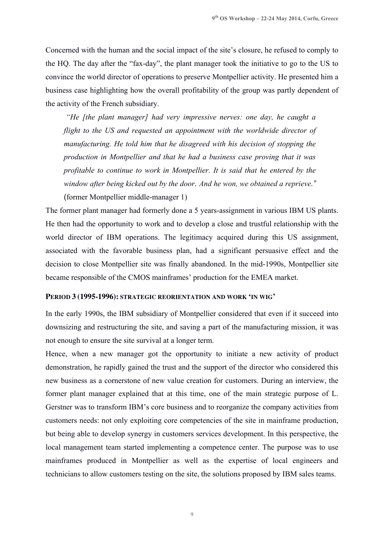Concerned with the human and the social impact of the site's closure, he refused to comply to the HQ. The day after the "fax-day", the plant manager took the initiative to go to the US to convince the world director of operations to preserve Montpellier activity. He presented him a business case highlighting how the overall profitability of the group was partly dependent of the activity of the French subsidiary.

*"He [the plant manager] had very impressive nerves: one day, he caught a flight to the US and requested an appointment with the worldwide director of manufacturing. He told him that he disagreed with his decision of stopping the production in Montpellier and that he had a business case proving that it was profitable to continue to work in Montpellier. It is said that he entered by the window after being kicked out by the door. And he won, we obtained a reprieve."*

(former Montpellier middle-manager 1)

The former plant manager had formerly done a 5 years-assignment in various IBM US plants. He then had the opportunity to work and to develop a close and trustful relationship with the world director of IBM operations. The legitimacy acquired during this US assignment, associated with the favorable business plan, had a significant persuasive effect and the decision to close Montpellier site was finally abandoned. In the mid-1990s, Montpellier site became responsible of the CMOS mainframes' production for the EMEA market.

# **PERIOD 3 (1995-1996): STRATEGIC REORIENTATION AND WORK 'IN WIG'**

In the early 1990s, the IBM subsidiary of Montpellier considered that even if it succeed into downsizing and restructuring the site, and saving a part of the manufacturing mission, it was not enough to ensure the site survival at a longer term.

Hence, when a new manager got the opportunity to initiate a new activity of product demonstration, he rapidly gained the trust and the support of the director who considered this new business as a cornerstone of new value creation for customers. During an interview, the former plant manager explained that at this time, one of the main strategic purpose of L. Gerstner was to transform IBM's core business and to reorganize the company activities from customers needs: not only exploiting core competencies of the site in mainframe production, but being able to develop synergy in customers services development. In this perspective, the local management team started implementing a competence center. The purpose was to use mainframes produced in Montpellier as well as the expertise of local engineers and technicians to allow customers testing on the site, the solutions proposed by IBM sales teams.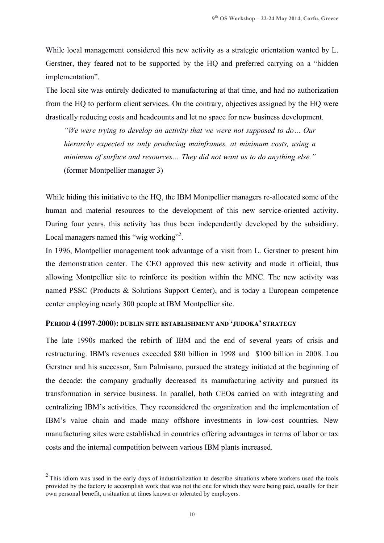While local management considered this new activity as a strategic orientation wanted by L. Gerstner, they feared not to be supported by the HQ and preferred carrying on a "hidden implementation".

The local site was entirely dedicated to manufacturing at that time, and had no authorization from the HQ to perform client services. On the contrary, objectives assigned by the HQ were drastically reducing costs and headcounts and let no space for new business development.

*"We were trying to develop an activity that we were not supposed to do… Our hierarchy expected us only producing mainframes, at minimum costs, using a minimum of surface and resources… They did not want us to do anything else."* (former Montpellier manager 3)

While hiding this initiative to the HQ, the IBM Montpellier managers re-allocated some of the human and material resources to the development of this new service-oriented activity. During four years, this activity has thus been independently developed by the subsidiary. Local managers named this "wig working"<sup>2</sup>.

In 1996, Montpellier management took advantage of a visit from L. Gerstner to present him the demonstration center. The CEO approved this new activity and made it official, thus allowing Montpellier site to reinforce its position within the MNC. The new activity was named PSSC (Products & Solutions Support Center), and is today a European competence center employing nearly 300 people at IBM Montpellier site.

# **PERIOD 4 (1997-2000): DUBLIN SITE ESTABLISHMENT AND 'JUDOKA' STRATEGY**

The late 1990s marked the rebirth of IBM and the end of several years of crisis and restructuring. IBM's revenues exceeded \$80 billion in 1998 and \$100 billion in 2008. Lou Gerstner and his successor, Sam Palmisano, pursued the strategy initiated at the beginning of the decade: the company gradually decreased its manufacturing activity and pursued its transformation in service business. In parallel, both CEOs carried on with integrating and centralizing IBM's activities. They reconsidered the organization and the implementation of IBM's value chain and made many offshore investments in low-cost countries. New manufacturing sites were established in countries offering advantages in terms of labor or tax costs and the internal competition between various IBM plants increased.

 $2$  This idiom was used in the early days of industrialization to describe situations where workers used the tools provided by the factory to accomplish work that was not the one for which they were being paid, usually for their own personal benefit, a situation at times known or tolerated by employers.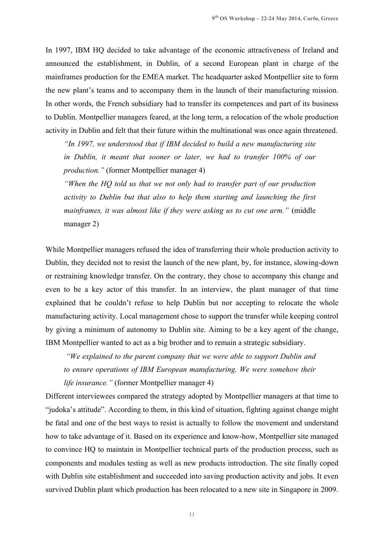In 1997, IBM HQ decided to take advantage of the economic attractiveness of Ireland and announced the establishment, in Dublin, of a second European plant in charge of the mainframes production for the EMEA market. The headquarter asked Montpellier site to form the new plant's teams and to accompany them in the launch of their manufacturing mission. In other words, the French subsidiary had to transfer its competences and part of its business to Dublin. Montpellier managers feared, at the long term, a relocation of the whole production activity in Dublin and felt that their future within the multinational was once again threatened.

*"In 1997, we understood that if IBM decided to build a new manufacturing site in Dublin, it meant that sooner or later, we had to transfer 100% of our production."* (former Montpellier manager 4)

*"When the HQ told us that we not only had to transfer part of our production activity to Dublin but that also to help them starting and launching the first mainframes, it was almost like if they were asking us to cut one arm."* (middle manager 2)

While Montpellier managers refused the idea of transferring their whole production activity to Dublin, they decided not to resist the launch of the new plant, by, for instance, slowing-down or restraining knowledge transfer. On the contrary, they chose to accompany this change and even to be a key actor of this transfer. In an interview, the plant manager of that time explained that he couldn't refuse to help Dublin but nor accepting to relocate the whole manufacturing activity. Local management chose to support the transfer while keeping control by giving a minimum of autonomy to Dublin site. Aiming to be a key agent of the change, IBM Montpellier wanted to act as a big brother and to remain a strategic subsidiary.

*"We explained to the parent company that we were able to support Dublin and to ensure operations of IBM European manufacturing. We were somehow their life insurance."* (former Montpellier manager 4)

Different interviewees compared the strategy adopted by Montpellier managers at that time to "judoka's attitude". According to them, in this kind of situation, fighting against change might be fatal and one of the best ways to resist is actually to follow the movement and understand how to take advantage of it. Based on its experience and know-how, Montpellier site managed to convince HQ to maintain in Montpellier technical parts of the production process, such as components and modules testing as well as new products introduction. The site finally coped with Dublin site establishment and succeeded into saving production activity and jobs. It even survived Dublin plant which production has been relocated to a new site in Singapore in 2009.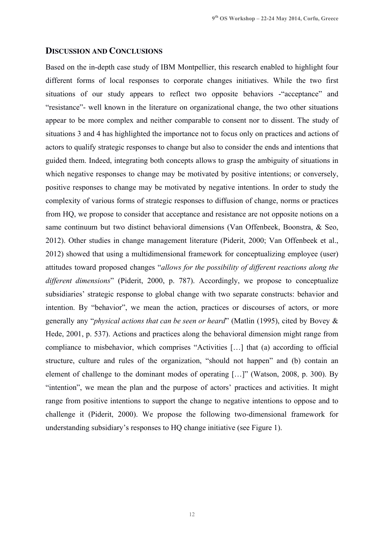#### **DISCUSSION AND CONCLUSIONS**

Based on the in-depth case study of IBM Montpellier, this research enabled to highlight four different forms of local responses to corporate changes initiatives. While the two first situations of our study appears to reflect two opposite behaviors -"acceptance" and "resistance"- well known in the literature on organizational change, the two other situations appear to be more complex and neither comparable to consent nor to dissent. The study of situations 3 and 4 has highlighted the importance not to focus only on practices and actions of actors to qualify strategic responses to change but also to consider the ends and intentions that guided them. Indeed, integrating both concepts allows to grasp the ambiguity of situations in which negative responses to change may be motivated by positive intentions; or conversely, positive responses to change may be motivated by negative intentions. In order to study the complexity of various forms of strategic responses to diffusion of change, norms or practices from HQ, we propose to consider that acceptance and resistance are not opposite notions on a same continuum but two distinct behavioral dimensions (Van Offenbeek, Boonstra, & Seo, 2012). Other studies in change management literature (Piderit, 2000; Van Offenbeek et al., 2012) showed that using a multidimensional framework for conceptualizing employee (user) attitudes toward proposed changes "*allows for the possibility of different reactions along the different dimensions*" (Piderit, 2000, p. 787). Accordingly, we propose to conceptualize subsidiaries' strategic response to global change with two separate constructs: behavior and intention. By "behavior", we mean the action, practices or discourses of actors, or more generally any "*physical actions that can be seen or heard*" (Matlin (1995), cited by Bovey & Hede, 2001, p. 537). Actions and practices along the behavioral dimension might range from compliance to misbehavior, which comprises "Activities […] that (a) according to official structure, culture and rules of the organization, "should not happen" and (b) contain an element of challenge to the dominant modes of operating […]" (Watson, 2008, p. 300). By "intention", we mean the plan and the purpose of actors' practices and activities. It might range from positive intentions to support the change to negative intentions to oppose and to challenge it (Piderit, 2000). We propose the following two-dimensional framework for understanding subsidiary's responses to HQ change initiative (see Figure 1).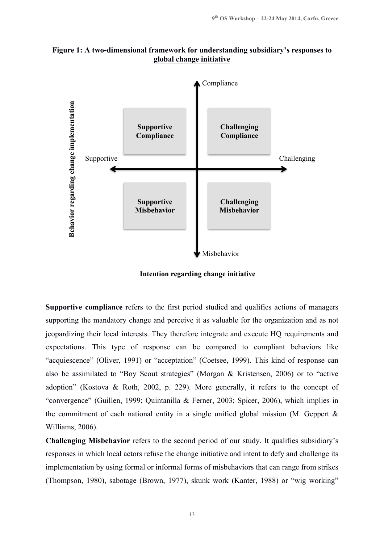



**Intention regarding change initiative** 

**Supportive compliance** refers to the first period studied and qualifies actions of managers supporting the mandatory change and perceive it as valuable for the organization and as not jeopardizing their local interests. They therefore integrate and execute HQ requirements and expectations. This type of response can be compared to compliant behaviors like "acquiescence" (Oliver, 1991) or "acceptation" (Coetsee, 1999). This kind of response can also be assimilated to "Boy Scout strategies" (Morgan & Kristensen, 2006) or to "active adoption" (Kostova & Roth, 2002, p. 229). More generally, it refers to the concept of "convergence" (Guillen, 1999; Quintanilla & Ferner, 2003; Spicer, 2006), which implies in the commitment of each national entity in a single unified global mission (M. Geppert & Williams, 2006).

**Challenging Misbehavior** refers to the second period of our study. It qualifies subsidiary's responses in which local actors refuse the change initiative and intent to defy and challenge its implementation by using formal or informal forms of misbehaviors that can range from strikes (Thompson, 1980), sabotage (Brown, 1977), skunk work (Kanter, 1988) or "wig working"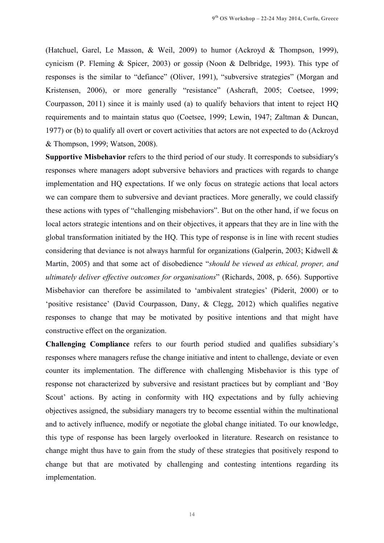(Hatchuel, Garel, Le Masson, & Weil, 2009) to humor (Ackroyd & Thompson, 1999), cynicism (P. Fleming & Spicer, 2003) or gossip (Noon & Delbridge, 1993). This type of responses is the similar to "defiance" (Oliver, 1991), "subversive strategies" (Morgan and Kristensen, 2006), or more generally "resistance" (Ashcraft, 2005; Coetsee, 1999; Courpasson, 2011) since it is mainly used (a) to qualify behaviors that intent to reject HQ requirements and to maintain status quo (Coetsee, 1999; Lewin, 1947; Zaltman & Duncan, 1977) or (b) to qualify all overt or covert activities that actors are not expected to do (Ackroyd & Thompson, 1999; Watson, 2008).

**Supportive Misbehavior** refers to the third period of our study. It corresponds to subsidiary's responses where managers adopt subversive behaviors and practices with regards to change implementation and HQ expectations. If we only focus on strategic actions that local actors we can compare them to subversive and deviant practices. More generally, we could classify these actions with types of "challenging misbehaviors". But on the other hand, if we focus on local actors strategic intentions and on their objectives, it appears that they are in line with the global transformation initiated by the HQ. This type of response is in line with recent studies considering that deviance is not always harmful for organizations (Galperin, 2003; Kidwell & Martin, 2005) and that some act of disobedience "*should be viewed as ethical, proper, and ultimately deliver effective outcomes for organisations*" (Richards, 2008, p. 656). Supportive Misbehavior can therefore be assimilated to 'ambivalent strategies' (Piderit, 2000) or to 'positive resistance' (David Courpasson, Dany, & Clegg, 2012) which qualifies negative responses to change that may be motivated by positive intentions and that might have constructive effect on the organization.

**Challenging Compliance** refers to our fourth period studied and qualifies subsidiary's responses where managers refuse the change initiative and intent to challenge, deviate or even counter its implementation. The difference with challenging Misbehavior is this type of response not characterized by subversive and resistant practices but by compliant and 'Boy Scout' actions. By acting in conformity with HQ expectations and by fully achieving objectives assigned, the subsidiary managers try to become essential within the multinational and to actively influence, modify or negotiate the global change initiated. To our knowledge, this type of response has been largely overlooked in literature. Research on resistance to change might thus have to gain from the study of these strategies that positively respond to change but that are motivated by challenging and contesting intentions regarding its implementation.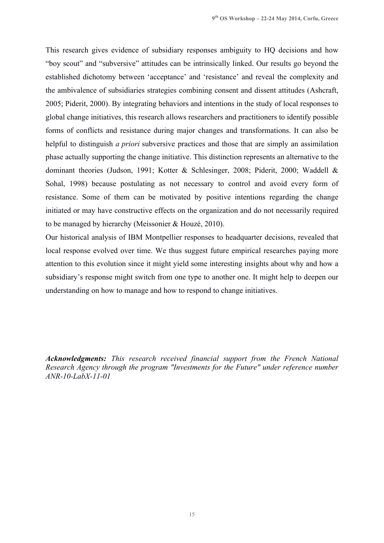This research gives evidence of subsidiary responses ambiguity to HQ decisions and how "boy scout" and "subversive" attitudes can be intrinsically linked. Our results go beyond the established dichotomy between 'acceptance' and 'resistance' and reveal the complexity and the ambivalence of subsidiaries strategies combining consent and dissent attitudes (Ashcraft, 2005; Piderit, 2000). By integrating behaviors and intentions in the study of local responses to global change initiatives, this research allows researchers and practitioners to identify possible forms of conflicts and resistance during major changes and transformations. It can also be helpful to distinguish *a priori* subversive practices and those that are simply an assimilation phase actually supporting the change initiative. This distinction represents an alternative to the dominant theories (Judson, 1991; Kotter & Schlesinger, 2008; Piderit, 2000; Waddell & Sohal, 1998) because postulating as not necessary to control and avoid every form of resistance. Some of them can be motivated by positive intentions regarding the change initiated or may have constructive effects on the organization and do not necessarily required to be managed by hierarchy (Meissonier & Houzé, 2010).

Our historical analysis of IBM Montpellier responses to headquarter decisions, revealed that local response evolved over time. We thus suggest future empirical researches paying more attention to this evolution since it might yield some interesting insights about why and how a subsidiary's response might switch from one type to another one. It might help to deepen our understanding on how to manage and how to respond to change initiatives.

*Acknowledgments: This research received financial support from the French National Research Agency through the program "Investments for the Future" under reference number ANR-10-LabX-11-01*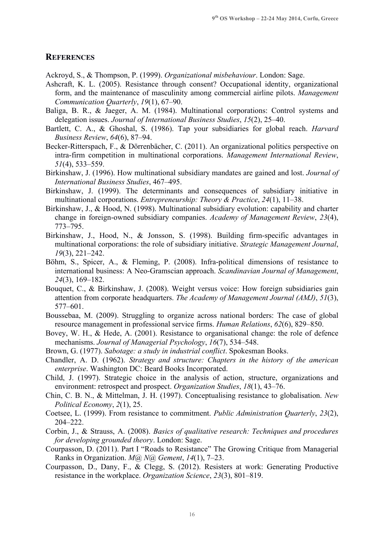# **REFERENCES**

Ackroyd, S., & Thompson, P. (1999). *Organizational misbehaviour*. London: Sage.

- Ashcraft, K. L. (2005). Resistance through consent? Occupational identity, organizational form, and the maintenance of masculinity among commercial airline pilots. *Management Communication Quarterly*, *19*(1), 67–90.
- Baliga, B. R., & Jaeger, A. M. (1984). Multinational corporations: Control systems and delegation issues. *Journal of International Business Studies*, *15*(2), 25–40.
- Bartlett, C. A., & Ghoshal, S. (1986). Tap your subsidiaries for global reach. *Harvard Business Review*, *64*(6), 87–94.
- Becker-Ritterspach, F., & Dörrenbächer, C. (2011). An organizational politics perspective on intra-firm competition in multinational corporations. *Management International Review*, *51*(4), 533–559.
- Birkinshaw, J. (1996). How multinational subsidiary mandates are gained and lost. *Journal of International Business Studies*, 467–495.
- Birkinshaw, J. (1999). The determinants and consequences of subsidiary initiative in multinational corporations. *Entrepreneurship: Theory & Practice*, *24*(1), 11–38.
- Birkinshaw, J., & Hood, N. (1998). Multinational subsidiary evolution: capability and charter change in foreign-owned subsidiary companies. *Academy of Management Review*, *23*(4), 773–795.
- Birkinshaw, J., Hood, N., & Jonsson, S. (1998). Building firm-specific advantages in multinational corporations: the role of subsidiary initiative. *Strategic Management Journal*, *19*(3), 221–242.
- Böhm, S., Spicer, A., & Fleming, P. (2008). Infra-political dimensions of resistance to international business: A Neo-Gramscian approach. *Scandinavian Journal of Management*, *24*(3), 169–182.
- Bouquet, C., & Birkinshaw, J. (2008). Weight versus voice: How foreign subsidiaries gain attention from corporate headquarters. *The Academy of Management Journal (AMJ)*, *51*(3), 577–601.
- Boussebaa, M. (2009). Struggling to organize across national borders: The case of global resource management in professional service firms. *Human Relations*, *62*(6), 829–850.
- Bovey, W. H., & Hede, A. (2001). Resistance to organisational change: the role of defence mechanisms. *Journal of Managerial Psychology*, *16*(7), 534–548.
- Brown, G. (1977). *Sabotage: a study in industrial conflict*. Spokesman Books.
- Chandler, A. D. (1962). *Strategy and structure: Chapters in the history of the american enterprise*. Washington DC: Beard Books Incorporated.
- Child, J. (1997). Strategic choice in the analysis of action, structure, organizations and environment: retrospect and prospect. *Organization Studies*, *18*(1), 43–76.
- Chin, C. B. N., & Mittelman, J. H. (1997). Conceptualising resistance to globalisation. *New Political Economy*, *2*(1), 25.
- Coetsee, L. (1999). From resistance to commitment. *Public Administration Quarterly*, *23*(2), 204–222.
- Corbin, J., & Strauss, A. (2008). *Basics of qualitative research: Techniques and procedures for developing grounded theory*. London: Sage.
- Courpasson, D. (2011). Part I "Roads to Resistance" The Growing Critique from Managerial Ranks in Organization. *M@ N@ Gement*, *14*(1), 7–23.
- Courpasson, D., Dany, F., & Clegg, S. (2012). Resisters at work: Generating Productive resistance in the workplace. *Organization Science*, *23*(3), 801–819.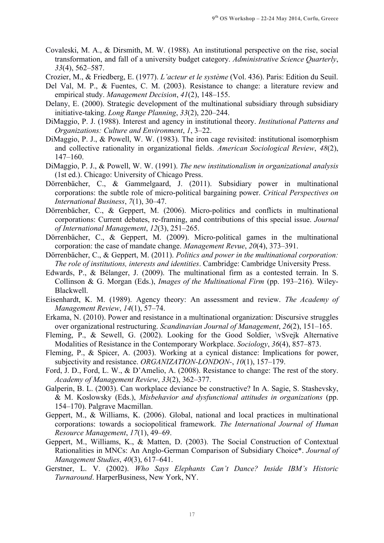- Covaleski, M. A., & Dirsmith, M. W. (1988). An institutional perspective on the rise, social transformation, and fall of a university budget category. *Administrative Science Quarterly*, *33*(4), 562–587.
- Crozier, M., & Friedberg, E. (1977). *L'acteur et le système* (Vol. 436). Paris: Edition du Seuil.
- Del Val, M. P., & Fuentes, C. M. (2003). Resistance to change: a literature review and empirical study. *Management Decision*, *41*(2), 148–155.
- Delany, E. (2000). Strategic development of the multinational subsidiary through subsidiary initiative-taking. *Long Range Planning*, *33*(2), 220–244.
- DiMaggio, P. J. (1988). Interest and agency in institutional theory. *Institutional Patterns and Organizations: Culture and Environment*, *1*, 3–22.
- DiMaggio, P. J., & Powell, W. W. (1983). The iron cage revisited: institutional isomorphism and collective rationality in organizational fields. *American Sociological Review*, *48*(2), 147–160.
- DiMaggio, P. J., & Powell, W. W. (1991). *The new institutionalism in organizational analysis* (1st ed.). Chicago: University of Chicago Press.
- Dörrenbächer, C., & Gammelgaard, J. (2011). Subsidiary power in multinational corporations: the subtle role of micro-political bargaining power. *Critical Perspectives on International Business*, *7*(1), 30–47.
- Dörrenbächer, C., & Geppert, M. (2006). Micro-politics and conflicts in multinational corporations: Current debates, re-framing, and contributions of this special issue. *Journal of International Management*, *12*(3), 251–265.
- Dörrenbächer, C., & Geppert, M. (2009). Micro-political games in the multinational corporation: the case of mandate change. *Management Revue*, *20*(4), 373–391.
- Dörrenbächer, C., & Geppert, M. (2011). *Politics and power in the multinational corporation: The role of institutions, interests and identities*. Cambridge: Cambridge University Press.
- Edwards, P., & Bélanger, J. (2009). The multinational firm as a contested terrain. In S. Collinson & G. Morgan (Eds.), *Images of the Multinational Firm* (pp. 193–216). Wiley-Blackwell.
- Eisenhardt, K. M. (1989). Agency theory: An assessment and review. *The Academy of Management Review*, *14*(1), 57–74.
- Erkama, N. (2010). Power and resistance in a multinational organization: Discursive struggles over organizational restructuring. *Scandinavian Journal of Management*, *26*(2), 151–165.
- Fleming, P., & Sewell, G. (2002). Looking for the Good Soldier, \vSvejk Alternative Modalities of Resistance in the Contemporary Workplace. *Sociology*, *36*(4), 857–873.
- Fleming, P., & Spicer, A. (2003). Working at a cynical distance: Implications for power, subjectivity and resistance. *ORGANIZATION-LONDON-*, *10*(1), 157–179.
- Ford, J. D., Ford, L. W., & D'Amelio, A. (2008). Resistance to change: The rest of the story. *Academy of Management Review*, *33*(2), 362–377.
- Galperin, B. L. (2003). Can workplace deviance be constructive? In A. Sagie, S. Stashevsky, & M. Koslowsky (Eds.), *Misbehavior and dysfunctional attitudes in organizations* (pp. 154–170). Palgrave Macmillan.
- Geppert, M., & Williams, K. (2006). Global, national and local practices in multinational corporations: towards a sociopolitical framework. *The International Journal of Human Resource Management*, *17*(1), 49–69.
- Geppert, M., Williams, K., & Matten, D. (2003). The Social Construction of Contextual Rationalities in MNCs: An Anglo-German Comparison of Subsidiary Choice\*. *Journal of Management Studies*, *40*(3), 617–641.
- Gerstner, L. V. (2002). *Who Says Elephants Can't Dance? Inside IBM's Historic Turnaround*. HarperBusiness, New York, NY.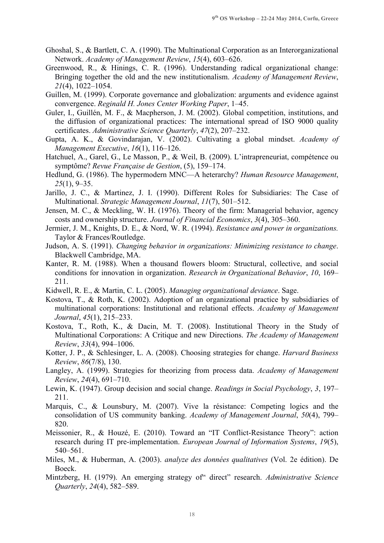- Ghoshal, S., & Bartlett, C. A. (1990). The Multinational Corporation as an Interorganizational Network. *Academy of Management Review*, *15*(4), 603–626.
- Greenwood, R., & Hinings, C. R. (1996). Understanding radical organizational change: Bringing together the old and the new institutionalism. *Academy of Management Review*, *21*(4), 1022–1054.
- Guillen, M. (1999). Corporate governance and globalization: arguments and evidence against convergence. *Reginald H. Jones Center Working Paper*, 1–45.
- Guler, I., Guillén, M. F., & Macpherson, J. M. (2002). Global competition, institutions, and the diffusion of organizational practices: The international spread of ISO 9000 quality certificates. *Administrative Science Quarterly*, *47*(2), 207–232.
- Gupta, A. K., & Govindarajan, V. (2002). Cultivating a global mindset. *Academy of Management Executive*, *16*(1), 116–126.
- Hatchuel, A., Garel, G., Le Masson, P., & Weil, B. (2009). L'intrapreneuriat, compétence ou symptôme? *Revue Française de Gestion*, (5), 159–174.
- Hedlund, G. (1986). The hypermodern MNC—A heterarchy? *Human Resource Management*, *25*(1), 9–35.
- Jarillo, J. C., & Martinez, J. I. (1990). Different Roles for Subsidiaries: The Case of Multinational. *Strategic Management Journal*, *11*(7), 501–512.
- Jensen, M. C., & Meckling, W. H. (1976). Theory of the firm: Managerial behavior, agency costs and ownership structure. *Journal of Financial Economics*, *3*(4), 305–360.
- Jermier, J. M., Knights, D. E., & Nord, W. R. (1994). *Resistance and power in organizations.* Taylor & Frances/Routledge.
- Judson, A. S. (1991). *Changing behavior in organizations: Minimizing resistance to change*. Blackwell Cambridge, MA.
- Kanter, R. M. (1988). When a thousand flowers bloom: Structural, collective, and social conditions for innovation in organization. *Research in Organizational Behavior*, *10*, 169– 211.
- Kidwell, R. E., & Martin, C. L. (2005). *Managing organizational deviance*. Sage.
- Kostova, T., & Roth, K. (2002). Adoption of an organizational practice by subsidiaries of multinational corporations: Institutional and relational effects. *Academy of Management Journal*, *45*(1), 215–233.
- Kostova, T., Roth, K., & Dacin, M. T. (2008). Institutional Theory in the Study of Multinational Corporations: A Critique and new Directions. *The Academy of Management Review*, *33*(4), 994–1006.
- Kotter, J. P., & Schlesinger, L. A. (2008). Choosing strategies for change. *Harvard Business Review*, *86*(7/8), 130.
- Langley, A. (1999). Strategies for theorizing from process data. *Academy of Management Review*, *24*(4), 691–710.
- Lewin, K. (1947). Group decision and social change. *Readings in Social Psychology*, *3*, 197– 211.
- Marquis, C., & Lounsbury, M. (2007). Vive la résistance: Competing logics and the consolidation of US community banking. *Academy of Management Journal*, *50*(4), 799– 820.
- Meissonier, R., & Houzé, E. (2010). Toward an "IT Conflict-Resistance Theory": action research during IT pre-implementation. *European Journal of Information Systems*, *19*(5), 540–561.
- Miles, M., & Huberman, A. (2003). *analyze des données qualitatives* (Vol. 2e édition). De Boeck.
- Mintzberg, H. (1979). An emerging strategy of" direct" research. *Administrative Science Quarterly*, *24*(4), 582–589.